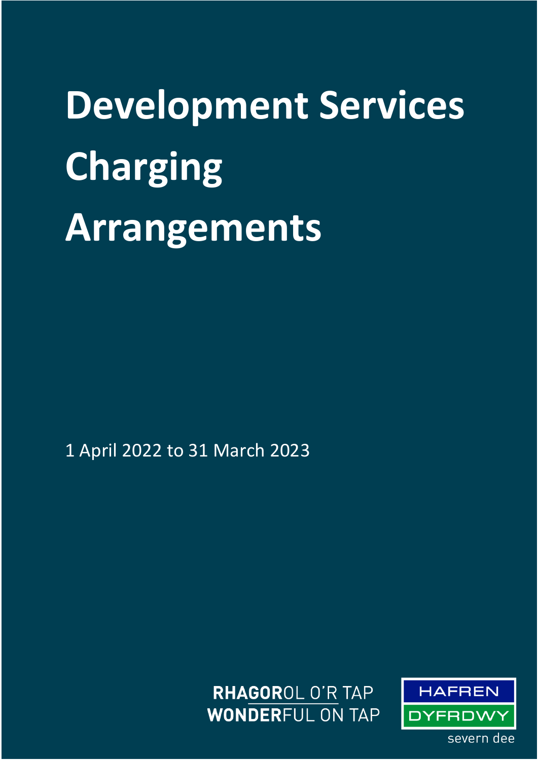**Development Services Charging Arrangements**

1 April 2022 to 31 March 2023

**RHAGOROL O'R TAP WONDERFUL ON TAP** 

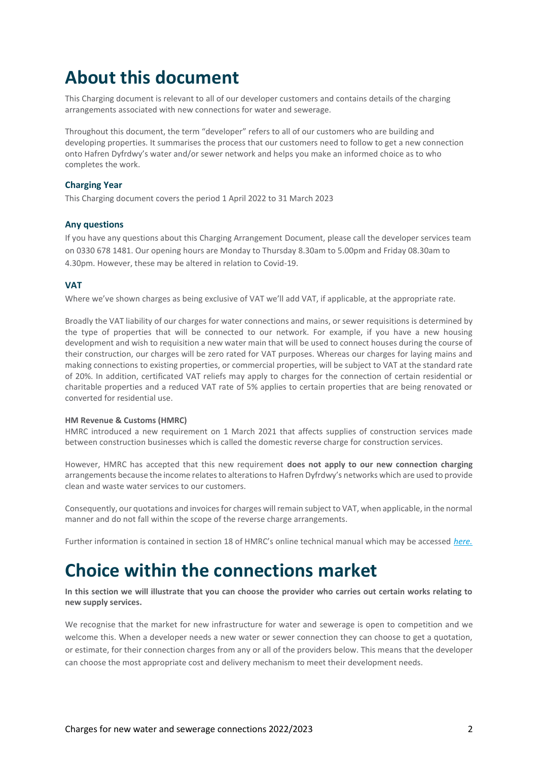# **About this document**

This Charging document is relevant to all of our developer customers and contains details of the charging arrangements associated with new connections for water and sewerage.

Throughout this document, the term "developer" refers to all of our customers who are building and developing properties. It summarises the process that our customers need to follow to get a new connection onto Hafren Dyfrdwy's water and/or sewer network and helps you make an informed choice as to who completes the work.

### **Charging Year**

This Charging document covers the period 1 April 2022 to 31 March 2023

### **Any questions**

If you have any questions about this Charging Arrangement Document, please call the developer services team on 0330 678 1481. Our opening hours are Monday to Thursday 8.30am to 5.00pm and Friday 08.30am to 4.30pm. However, these may be altered in relation to Covid-19.

### **VAT**

Where we've shown charges as being exclusive of VAT we'll add VAT, if applicable, at the appropriate rate.

Broadly the VAT liability of our charges for water connections and mains, or sewer requisitions is determined by the type of properties that will be connected to our network. For example, if you have a new housing development and wish to requisition a new water main that will be used to connect houses during the course of their construction, our charges will be zero rated for VAT purposes. Whereas our charges for laying mains and making connections to existing properties, or commercial properties, will be subject to VAT at the standard rate of 20%. In addition, certificated VAT reliefs may apply to charges for the connection of certain residential or charitable properties and a reduced VAT rate of 5% applies to certain properties that are being renovated or converted for residential use.

#### **HM Revenue & Customs (HMRC)**

HMRC introduced a new requirement on 1 March 2021 that affects supplies of construction services made between construction businesses which is called the domestic reverse charge for construction services.

However, HMRC has accepted that this new requirement **does not apply to our new connection charging** arrangements because the income relates to alterations to Hafren Dyfrdwy's networks which are used to provide clean and waste water services to our customers.

Consequently, our quotations and invoices for charges will remain subject to VAT, when applicable, in the normal manner and do not fall within the scope of the reverse charge arrangements.

Further information is contained in section 18 of HMRC's online technical manual which may be accessed *[here.](https://eur02.safelinks.protection.outlook.com/?url=https%3A%2F%2Fwww.gov.uk%2Fguidance%2Fvat-reverse-charge-technical-guide%23end-users-and-intermediary-supplier-businesses&data=04%7C01%7CZahir.Nawaz%40severntrent.co.uk%7C2660a2ac6b11465670f308d8c1eeb5b6%7Ce15c1e997be3495c978eeca7b8ea9f31%7C0%7C0%7C637472578276242164%7CUnknown%7CTWFpbGZsb3d8eyJWIjoiMC4wLjAwMDAiLCJQIjoiV2luMzIiLCJBTiI6Ik1haWwiLCJXVCI6Mn0%3D%7C1000&sdata=ppr%2Fik6llQAxGaAscOCkb1cxOxBHkBz0uJc835dmHx4%3D&reserved=0)*

## **Choice within the connections market**

**In this section we will illustrate that you can choose the provider who carries out certain works relating to new supply services.**

We recognise that the market for new infrastructure for water and sewerage is open to competition and we welcome this. When a developer needs a new water or sewer connection they can choose to get a quotation, or estimate, for their connection charges from any or all of the providers below. This means that the developer can choose the most appropriate cost and delivery mechanism to meet their development needs.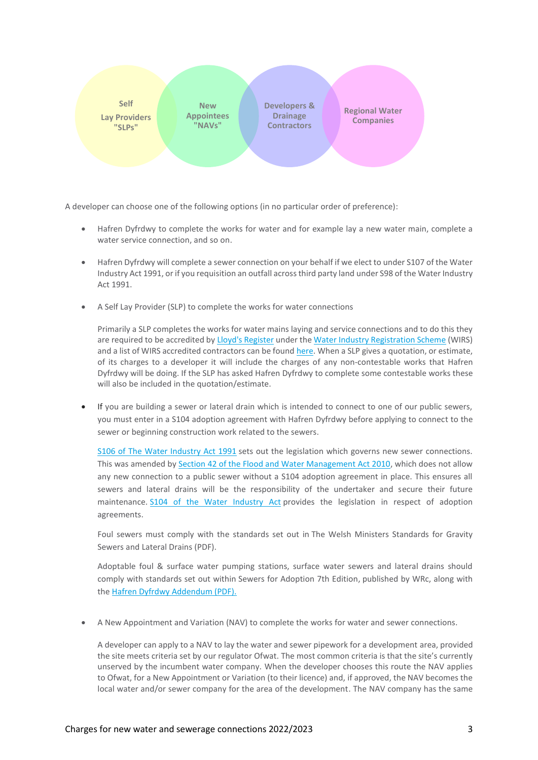

A developer can choose one of the following options (in no particular order of preference):

- Hafren Dyfrdwy to complete the works for water and for example lay a new water main, complete a water service connection, and so on.
- Hafren Dyfrdwy will complete a sewer connection on your behalf if we elect to under S107 of the Water Industry Act 1991, or if you requisition an outfall across third party land under S98 of the Water Industry Act 1991.
- A Self Lay Provider (SLP) to complete the works for water connections

Primarily a SLP completes the works for water mains laying and service connections and to do this they are required to be accredited b[y Lloyd's Register](https://www.lr.org/en/) under th[e Water Industry Registration Scheme](https://www.lr.org/en/utilities/water-industry-registration-scheme-wirs-wirsae/) (WIRS) and a list of WIRS accredited contractors can be found [here.](https://www.lr.org/en/utilities/water-industry-registration-scheme-wirs-wirsae/search/) When a SLP gives a quotation, or estimate, of its charges to a developer it will include the charges of any non-contestable works that Hafren Dyfrdwy will be doing. If the SLP has asked Hafren Dyfrdwy to complete some contestable works these will also be included in the quotation/estimate.

• If you are building a sewer or lateral drain which is intended to connect to one of our public sewers, you must enter in a S104 adoption agreement with Hafren Dyfrdwy before applying to connect to the sewer or beginning construction work related to the sewers.

[S106 of The Water Industry Act 1991](https://eur02.safelinks.protection.outlook.com/?url=https%3A%2F%2Fwww.legislation.gov.uk%2Fukpga%2F1991%2F56%2Fsection%2F106&data=04%7C01%7CDawn.Quinn%40severntrent.co.uk%7C035ce6e6c2df4f8fb58008d9e26b4225%7Ce15c1e997be3495c978eeca7b8ea9f31%7C0%7C0%7C637789772554987171%7CUnknown%7CTWFpbGZsb3d8eyJWIjoiMC4wLjAwMDAiLCJQIjoiV2luMzIiLCJBTiI6Ik1haWwiLCJXVCI6Mn0%3D%7C3000&sdata=OnkpYwc7Upbo82m%2B%2FUvYzGDqZnJrYzqlX97uTEWClLk%3D&reserved=0) sets out the legislation which governs new sewer connections. This was amended by [Section 42 of the Flood and Water Management Act 2010,](https://eur02.safelinks.protection.outlook.com/?url=https%3A%2F%2Fwww.legislation.gov.uk%2Fukpga%2F2010%2F29%2Fsection%2F42&data=04%7C01%7CDawn.Quinn%40severntrent.co.uk%7C035ce6e6c2df4f8fb58008d9e26b4225%7Ce15c1e997be3495c978eeca7b8ea9f31%7C0%7C0%7C637789772554987171%7CUnknown%7CTWFpbGZsb3d8eyJWIjoiMC4wLjAwMDAiLCJQIjoiV2luMzIiLCJBTiI6Ik1haWwiLCJXVCI6Mn0%3D%7C3000&sdata=Po37jmQL5cRVR8m4C6ZdK1PytISZpy6LICOF3rGB0cM%3D&reserved=0) which does not allow any new connection to a public sewer without a S104 adoption agreement in place. This ensures all sewers and lateral drains will be the responsibility of the undertaker and secure their future maintenance. [S104 of the Water Industry Act](https://eur02.safelinks.protection.outlook.com/?url=https%3A%2F%2Fwww.legislation.gov.uk%2Fukpga%2F1991%2F56%2Fsection%2F104&data=04%7C01%7CDawn.Quinn%40severntrent.co.uk%7C035ce6e6c2df4f8fb58008d9e26b4225%7Ce15c1e997be3495c978eeca7b8ea9f31%7C0%7C0%7C637789772554987171%7CUnknown%7CTWFpbGZsb3d8eyJWIjoiMC4wLjAwMDAiLCJQIjoiV2luMzIiLCJBTiI6Ik1haWwiLCJXVCI6Mn0%3D%7C3000&sdata=omPQ3MgoznyYflPT3W0yP1Lyf01X07PVfLZ4gy5NHWA%3D&reserved=0) provides the legislation in respect of adoption agreements.

Foul sewers must comply with the standards set out in The Welsh Ministers Standards for Gravity Sewers and Lateral Drains (PDF).

Adoptable foul & surface water pumping stations, surface water sewers and lateral drains should comply with standards set out within Sewers for Adoption 7th Edition, published by WRc, along with the [Hafren Dyfrdwy Addendum \(PDF\).](https://eur02.safelinks.protection.outlook.com/?url=https%3A%2F%2Fwww.hdcymru.co.uk%2Fcontent%2Fdam%2Fhdcymru%2Fbuilding-and-developing%2Fdocuments%2FPumping-Station-Addendum.pdf&data=04%7C01%7CDawn.Quinn%40severntrent.co.uk%7C035ce6e6c2df4f8fb58008d9e26b4225%7Ce15c1e997be3495c978eeca7b8ea9f31%7C0%7C0%7C637789772554987171%7CUnknown%7CTWFpbGZsb3d8eyJWIjoiMC4wLjAwMDAiLCJQIjoiV2luMzIiLCJBTiI6Ik1haWwiLCJXVCI6Mn0%3D%7C3000&sdata=jMVUYQVEqUS7rf%2B66X4k%2FenH2IH%2FzesccQl%2F8vZhFzw%3D&reserved=0)

• A New Appointment and Variation (NAV) to complete the works for water and sewer connections.

A developer can apply to a NAV to lay the water and sewer pipework for a development area, provided the site meets criteria set by our regulator Ofwat. The most common criteria is that the site's currently unserved by the incumbent water company. When the developer chooses this route the NAV applies to Ofwat, for a New Appointment or Variation (to their licence) and, if approved, the NAV becomes the local water and/or sewer company for the area of the development. The NAV company has the same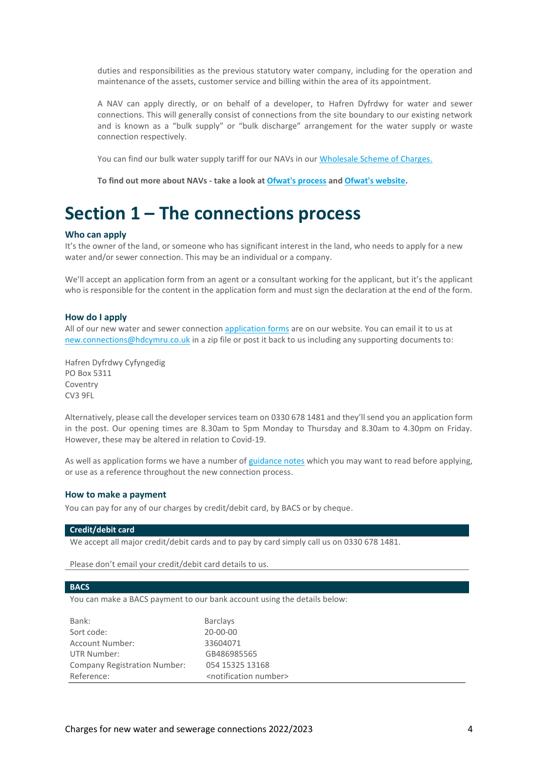duties and responsibilities as the previous statutory water company, including for the operation and maintenance of the assets, customer service and billing within the area of its appointment.

A NAV can apply directly, or on behalf of a developer, to Hafren Dyfrdwy for water and sewer connections. This will generally consist of connections from the site boundary to our existing network and is known as a "bulk supply" or "bulk discharge" arrangement for the water supply or waste connection respectively.

You can find our bulk water supply tariff for our NAVs in our [Wholesale Scheme of Charges.](https://www.hdcymru.co.uk/content/dam/hdcymru/my-account/our-charges/2022/hd-nhh-scheme-of-charges-22-23.pdf) 

**To find out more about NAVs - take a look a[t Ofwat's process](https://www.ofwat.gov.uk/wp-content/uploads/2015/12/navprocesslm.pdf) an[d Ofwat's website.](https://www.ofwat.gov.uk/regulated-companies/markets/nav-market/)**

## **Section 1 – The connections process**

#### **Who can apply**

It's the owner of the land, or someone who has significant interest in the land, who needs to apply for a new water and/or sewer connection. This may be an individual or a company.

We'll accept an application form from an agent or a consultant working for the applicant, but it's the applicant who is responsible for the content in the application form and must sign the declaration at the end of the form.

#### **How do I apply**

All of our new water and sewer connection [application forms](https://www.hdcymru.co.uk/building-and-developing/regulations-and-forms/application-forms-and-guidance/) are on our website. You can email it to us at [new.connections@hdcymru.co.uk](mailto:new.connections@hdcymru.co.uk) in a zip file or post it back to us including any supporting documents to:

Hafren Dyfrdwy Cyfyngedig PO Box 5311 Coventry CV3 9FL

Alternatively, please call the developer services team on 0330 678 1481 and they'll send you an application form in the post. Our opening times are 8.30am to 5pm Monday to Thursday and 8.30am to 4.30pm on Friday. However, these may be altered in relation to Covid-19.

As well as application forms we have a number o[f guidance notes](https://www.hdcymru.co.uk/building-and-developing/regulations-and-forms/application-forms-and-guidance/) which you may want to read before applying, or use as a reference throughout the new connection process.

#### **How to make a payment**

You can pay for any of our charges by credit/debit card, by BACS or by cheque.

#### **Credit/debit card**

We accept all major credit/debit cards and to pay by card simply call us on 0330 678 1481.

Please don't email your credit/debit card details to us.

#### **BACS**

You can make a BACS payment to our bank account using the details below:

| Bank:                               | <b>Barclays</b>                         |
|-------------------------------------|-----------------------------------------|
| Sort code:                          | $20 - 00 - 00$                          |
| <b>Account Number:</b>              | 33604071                                |
| UTR Number:                         | GB486985565                             |
| <b>Company Registration Number:</b> | 054 15325 13168                         |
| Reference:                          | <notification number=""></notification> |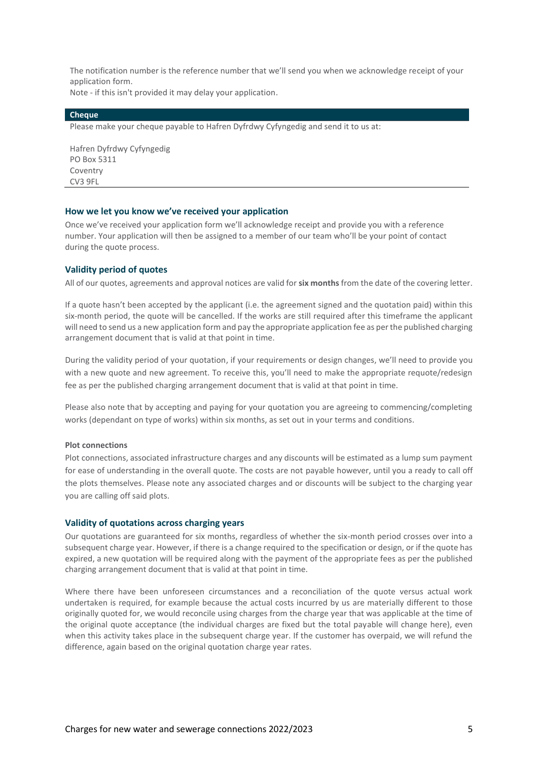The notification number is the reference number that we'll send you when we acknowledge receipt of your application form.

Note - if this isn't provided it may delay your application.

#### **Cheque**

Please make your cheque payable to Hafren Dyfrdwy Cyfyngedig and send it to us at:

Hafren Dyfrdwy Cyfyngedig PO Box 5311 Coventry CV3 9FL

#### **How we let you know we've received your application**

Once we've received your application form we'll acknowledge receipt and provide you with a reference number. Your application will then be assigned to a member of our team who'll be your point of contact during the quote process.

#### **Validity period of quotes**

All of our quotes, agreements and approval notices are valid for **six months** from the date of the covering letter.

If a quote hasn't been accepted by the applicant (i.e. the agreement signed and the quotation paid) within this six-month period, the quote will be cancelled. If the works are still required after this timeframe the applicant will need to send us a new application form and pay the appropriate application fee as per the published charging arrangement document that is valid at that point in time.

During the validity period of your quotation, if your requirements or design changes, we'll need to provide you with a new quote and new agreement. To receive this, you'll need to make the appropriate requote/redesign fee as per the published charging arrangement document that is valid at that point in time.

Please also note that by accepting and paying for your quotation you are agreeing to commencing/completing works (dependant on type of works) within six months, as set out in your terms and conditions.

#### **Plot connections**

Plot connections, associated infrastructure charges and any discounts will be estimated as a lump sum payment for ease of understanding in the overall quote. The costs are not payable however, until you a ready to call off the plots themselves. Please note any associated charges and or discounts will be subject to the charging year you are calling off said plots.

#### **Validity of quotations across charging years**

Our quotations are guaranteed for six months, regardless of whether the six-month period crosses over into a subsequent charge year. However, if there is a change required to the specification or design, or if the quote has expired, a new quotation will be required along with the payment of the appropriate fees as per the published charging arrangement document that is valid at that point in time.

Where there have been unforeseen circumstances and a reconciliation of the quote versus actual work undertaken is required, for example because the actual costs incurred by us are materially different to those originally quoted for, we would reconcile using charges from the charge year that was applicable at the time of the original quote acceptance (the individual charges are fixed but the total payable will change here), even when this activity takes place in the subsequent charge year. If the customer has overpaid, we will refund the difference, again based on the original quotation charge year rates.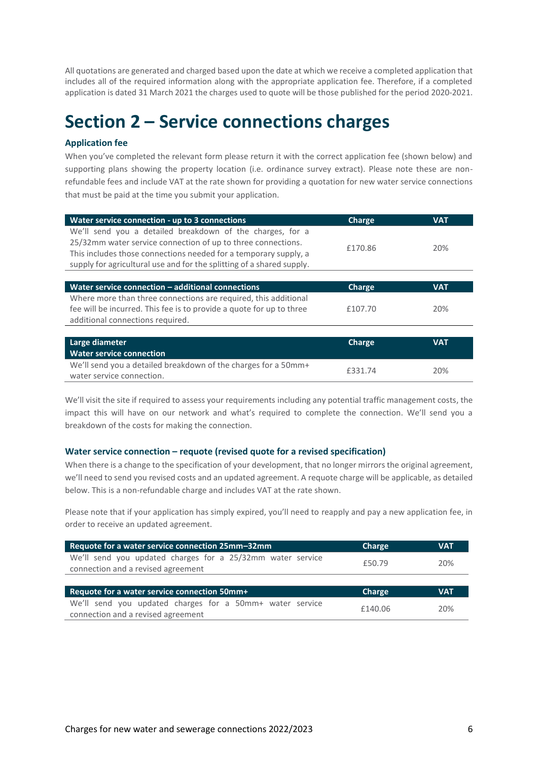All quotations are generated and charged based upon the date at which we receive a completed application that includes all of the required information along with the appropriate application fee. Therefore, if a completed application is dated 31 March 2021 the charges used to quote will be those published for the period 2020-2021.

# **Section 2 – Service connections charges**

## **Application fee**

When you've completed the relevant form please return it with the correct application fee (shown below) and supporting plans showing the property location (i.e. ordinance survey extract). Please note these are nonrefundable fees and include VAT at the rate shown for providing a quotation for new water service connections that must be paid at the time you submit your application.

| Water service connection - up to 3 connections                        | Charge        | <b>VAT</b> |
|-----------------------------------------------------------------------|---------------|------------|
| We'll send you a detailed breakdown of the charges, for a             |               |            |
| 25/32mm water service connection of up to three connections.          | £170.86       | 20%        |
| This includes those connections needed for a temporary supply, a      |               |            |
| supply for agricultural use and for the splitting of a shared supply. |               |            |
|                                                                       |               |            |
| Water service connection - additional connections                     | Charge        | <b>VAT</b> |
| Where more than three connections are required, this additional       |               |            |
| fee will be incurred. This fee is to provide a quote for up to three  | £107.70       | 20%        |
| additional connections required.                                      |               |            |
|                                                                       |               |            |
| Large diameter                                                        | <b>Charge</b> | <b>VAT</b> |
| <b>Water service connection</b>                                       |               |            |
| We'll send you a detailed breakdown of the charges for a 50mm+        | £331.74       | 20%        |
| water service connection.                                             |               |            |

We'll visit the site if required to assess your requirements including any potential traffic management costs, the impact this will have on our network and what's required to complete the connection. We'll send you a breakdown of the costs for making the connection.

#### **Water service connection – requote (revised quote for a revised specification)**

When there is a change to the specification of your development, that no longer mirrors the original agreement, we'll need to send you revised costs and an updated agreement. A requote charge will be applicable, as detailed below. This is a non-refundable charge and includes VAT at the rate shown.

Please note that if your application has simply expired, you'll need to reapply and pay a new application fee, in order to receive an updated agreement.

| Requote for a water service connection 25mm-32mm                                                 | Charge  | <b>VAT</b> |
|--------------------------------------------------------------------------------------------------|---------|------------|
| We'll send you updated charges for a 25/32mm water service<br>connection and a revised agreement | £50.79  | 20%        |
|                                                                                                  |         |            |
| Requote for a water service connection 50mm+                                                     | Charge  | <b>VAT</b> |
| We'll send you updated charges for a 50mm+ water service<br>connection and a revised agreement   | £140.06 | 20%        |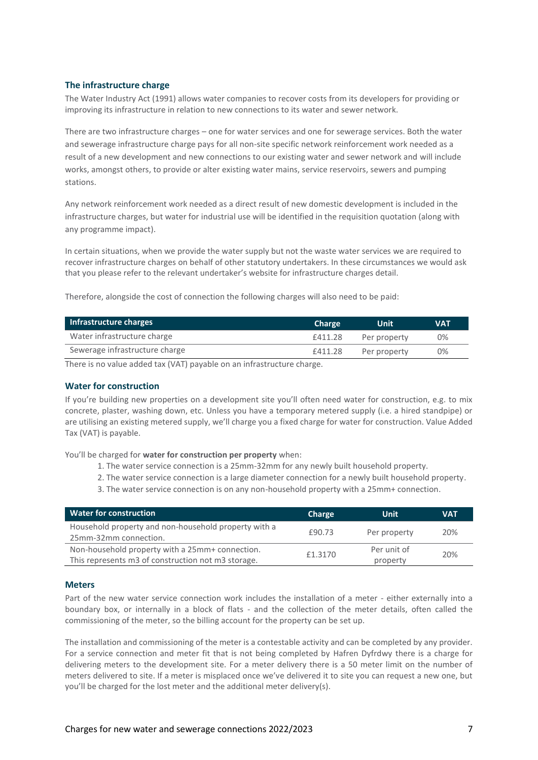### **The infrastructure charge**

The Water Industry Act (1991) allows water companies to recover costs from its developers for providing or improving its infrastructure in relation to new connections to its water and sewer network.

There are two infrastructure charges – one for water services and one for sewerage services. Both the water and sewerage infrastructure charge pays for all non-site specific network reinforcement work needed as a result of a new development and new connections to our existing water and sewer network and will include works, amongst others, to provide or alter existing water mains, service reservoirs, sewers and pumping stations.

Any network reinforcement work needed as a direct result of new domestic development is included in the infrastructure charges, but water for industrial use will be identified in the requisition quotation (along with any programme impact).

In certain situations, when we provide the water supply but not the waste water services we are required to recover infrastructure charges on behalf of other statutory undertakers. In these circumstances we would ask that you please refer to the relevant undertaker's website for infrastructure charges detail.

Therefore, alongside the cost of connection the following charges will also need to be paid:

| Infrastructure charges         | <b>Charge</b> | Unit         | <b>VAT</b> |
|--------------------------------|---------------|--------------|------------|
| Water infrastructure charge    | £411.28       | Per property | 0%         |
| Sewerage infrastructure charge | £411.28       | Per property | 0%         |

There is no value added tax (VAT) payable on an infrastructure charge.

#### **Water for construction**

If you're building new properties on a development site you'll often need water for construction, e.g. to mix concrete, plaster, washing down, etc. Unless you have a temporary metered supply (i.e. a hired standpipe) or are utilising an existing metered supply, we'll charge you a fixed charge for water for construction. Value Added Tax (VAT) is payable.

You'll be charged for **water for construction per property** when:

- 1. The water service connection is a 25mm-32mm for any newly built household property.
- 2. The water service connection is a large diameter connection for a newly built household property.
- 3. The water service connection is on any non-household property with a 25mm+ connection.

| <b>Water for construction</b>                                                                         | Charge  | Unit                    | <b>VAT</b> |
|-------------------------------------------------------------------------------------------------------|---------|-------------------------|------------|
| Household property and non-household property with a<br>25mm-32mm connection.                         | £90.73  | Per property            | 20%        |
| Non-household property with a 25mm+ connection.<br>This represents m3 of construction not m3 storage. | £1.3170 | Per unit of<br>property | 20%        |

#### **Meters**

Part of the new water service connection work includes the installation of a meter - either externally into a boundary box, or internally in a block of flats - and the collection of the meter details, often called the commissioning of the meter, so the billing account for the property can be set up.

The installation and commissioning of the meter is a contestable activity and can be completed by any provider. For a service connection and meter fit that is not being completed by Hafren Dyfrdwy there is a charge for delivering meters to the development site. For a meter delivery there is a 50 meter limit on the number of meters delivered to site. If a meter is misplaced once we've delivered it to site you can request a new one, but you'll be charged for the lost meter and the additional meter delivery(s).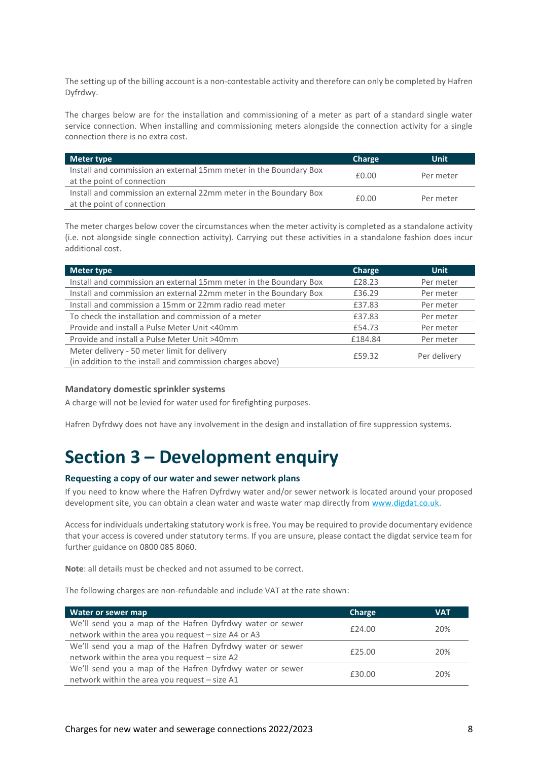The setting up of the billing account is a non-contestable activity and therefore can only be completed by Hafren Dyfrdwy.

The charges below are for the installation and commissioning of a meter as part of a standard single water service connection. When installing and commissioning meters alongside the connection activity for a single connection there is no extra cost.

| Meter type                                                        | Charge | Unit      |
|-------------------------------------------------------------------|--------|-----------|
| Install and commission an external 15mm meter in the Boundary Box | £0.00  | Per meter |
| at the point of connection                                        |        |           |
| Install and commission an external 22mm meter in the Boundary Box |        |           |
| at the point of connection                                        | £0.00  | Per meter |

The meter charges below cover the circumstances when the meter activity is completed as a standalone activity (i.e. not alongside single connection activity). Carrying out these activities in a standalone fashion does incur additional cost.

| Meter type                                                        | <b>Charge</b> | <b>Unit</b>  |
|-------------------------------------------------------------------|---------------|--------------|
| Install and commission an external 15mm meter in the Boundary Box | £28.23        | Per meter    |
| Install and commission an external 22mm meter in the Boundary Box | £36.29        | Per meter    |
| Install and commission a 15mm or 22mm radio read meter            | £37.83        | Per meter    |
| To check the installation and commission of a meter               | £37.83        | Per meter    |
| Provide and install a Pulse Meter Unit <40mm                      | £54.73        | Per meter    |
| Provide and install a Pulse Meter Unit >40mm                      | £184.84       | Per meter    |
| Meter delivery - 50 meter limit for delivery                      | £59.32        | Per delivery |
| (in addition to the install and commission charges above)         |               |              |

#### **Mandatory domestic sprinkler systems**

A charge will not be levied for water used for firefighting purposes.

Hafren Dyfrdwy does not have any involvement in the design and installation of fire suppression systems.

# **Section 3 – Development enquiry**

#### **Requesting a copy of our water and sewer network plans**

If you need to know where the Hafren Dyfrdwy water and/or sewer network is located around your proposed development site, you can obtain a clean water and waste water map directly from [www.digdat.co.uk.](http://www.digdat.co.uk/)

Access for individuals undertaking statutory work is free. You may be required to provide documentary evidence that your access is covered under statutory terms. If you are unsure, please contact the digdat service team for further guidance on 0800 085 8060.

**Note**: all details must be checked and not assumed to be correct.

The following charges are non-refundable and include VAT at the rate shown:

| Water or sewer map                                        | <b>Charge</b> | VAT |  |
|-----------------------------------------------------------|---------------|-----|--|
| We'll send you a map of the Hafren Dyfrdwy water or sewer | £24.00        | 20% |  |
| network within the area you request - size A4 or A3       |               |     |  |
| We'll send you a map of the Hafren Dyfrdwy water or sewer | f25.00        | 20% |  |
| network within the area you request $-$ size A2           |               |     |  |
| We'll send you a map of the Hafren Dyfrdwy water or sewer | £30.00        | 20% |  |
| network within the area you request - size A1             |               |     |  |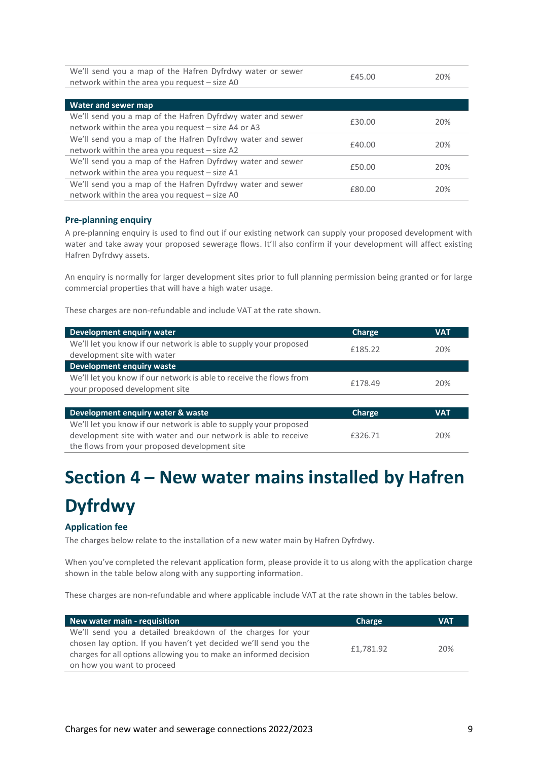| We'll send you a map of the Hafren Dyfrdwy water or sewer<br>network within the area you request - size A0        | £45.00 | 20% |
|-------------------------------------------------------------------------------------------------------------------|--------|-----|
|                                                                                                                   |        |     |
| Water and sewer map                                                                                               |        |     |
| We'll send you a map of the Hafren Dyfrdwy water and sewer<br>network within the area you request - size A4 or A3 | £30.00 | 20% |
| We'll send you a map of the Hafren Dyfrdwy water and sewer<br>network within the area you request - size A2       | £40.00 | 20% |
| We'll send you a map of the Hafren Dyfrdwy water and sewer<br>network within the area you request - size A1       | £50.00 | 20% |
| We'll send you a map of the Hafren Dyfrdwy water and sewer<br>network within the area you request - size A0       | £80.00 | 20% |

## **Pre-planning enquiry**

A pre-planning enquiry is used to find out if our existing network can supply your proposed development with water and take away your proposed sewerage flows. It'll also confirm if your development will affect existing Hafren Dyfrdwy assets.

An enquiry is normally for larger development sites prior to full planning permission being granted or for large commercial properties that will have a high water usage.

These charges are non-refundable and include VAT at the rate shown.

| Development enquiry water                                           | Charge  | <b>VAT</b> |
|---------------------------------------------------------------------|---------|------------|
| We'll let you know if our network is able to supply your proposed   | £185.22 | 20%        |
| development site with water                                         |         |            |
| Development enquiry waste                                           |         |            |
| We'll let you know if our network is able to receive the flows from | £178.49 | 20%        |
| your proposed development site                                      |         |            |
|                                                                     |         |            |
| Development enquiry water & waste                                   | Charge  | <b>VAT</b> |
| We'll let you know if our network is able to supply your proposed   |         |            |
| development site with water and our network is able to receive      | £326.71 | 20%        |
| the flows from your proposed development site                       |         |            |

# **Section 4 – New water mains installed by Hafren Dyfrdwy**

## **Application fee**

The charges below relate to the installation of a new water main by Hafren Dyfrdwy.

When you've completed the relevant application form, please provide it to us along with the application charge shown in the table below along with any supporting information.

These charges are non-refundable and where applicable include VAT at the rate shown in the tables below.

| New water main - requisition                                      | Charge    | VAT |
|-------------------------------------------------------------------|-----------|-----|
| We'll send you a detailed breakdown of the charges for your       |           |     |
| chosen lay option. If you haven't yet decided we'll send you the  | £1.781.92 | 20% |
| charges for all options allowing you to make an informed decision |           |     |
| on how you want to proceed                                        |           |     |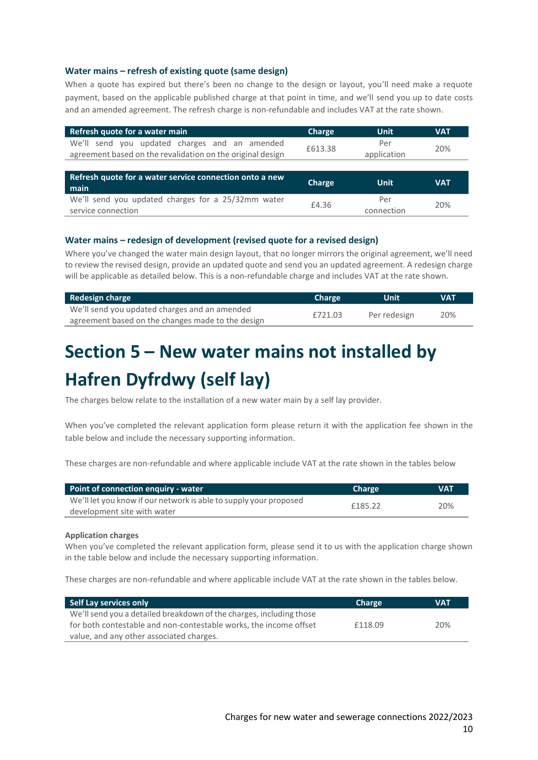### **Water mains – refresh of existing quote (same design)**

When a quote has expired but there's been no change to the design or layout, you'll need make a requote payment, based on the applicable published charge at that point in time, and we'll send you up to date costs and an amended agreement. The refresh charge is non-refundable and includes VAT at the rate shown.

| Refresh quote for a water main                                                                              | Charge  | <b>Unit</b>        | VAT        |
|-------------------------------------------------------------------------------------------------------------|---------|--------------------|------------|
| We'll send you updated charges and an amended<br>agreement based on the revalidation on the original design | £613.38 | Per<br>application | 20%        |
|                                                                                                             |         |                    |            |
|                                                                                                             |         |                    |            |
| Refresh quote for a water service connection onto a new<br>main                                             | Charge  | <b>Unit</b>        | <b>VAT</b> |

### **Water mains – redesign of development (revised quote for a revised design)**

Where you've changed the water main design layout, that no longer mirrors the original agreement, we'll need to review the revised design, provide an updated quote and send you an updated agreement. A redesign charge will be applicable as detailed below. This is a non-refundable charge and includes VAT at the rate shown.

| <b>Redesign charge</b>                            | <b>Charge</b> | Unit         | <b>VAT</b> |
|---------------------------------------------------|---------------|--------------|------------|
| We'll send you updated charges and an amended     | £721.03       | Per redesign | 20%        |
| agreement based on the changes made to the design |               |              |            |

# **Section 5 – New water mains not installed by Hafren Dyfrdwy (self lay)**

The charges below relate to the installation of a new water main by a self lay provider.

When you've completed the relevant application form please return it with the application fee shown in the table below and include the necessary supporting information.

These charges are non-refundable and where applicable include VAT at the rate shown in the tables below

| Point of connection enguiry - water                               | <b>Charge</b> | <b>VAT</b> |
|-------------------------------------------------------------------|---------------|------------|
| We'll let you know if our network is able to supply your proposed | £185.22       | 20%        |
| development site with water                                       |               |            |

#### **Application charges**

When you've completed the relevant application form, please send it to us with the application charge shown in the table below and include the necessary supporting information.

These charges are non-refundable and where applicable include VAT at the rate shown in the tables below.

| Self Lay services only                                              | <b>Charge</b> | VAT |
|---------------------------------------------------------------------|---------------|-----|
| We'll send you a detailed breakdown of the charges, including those |               |     |
| for both contestable and non-contestable works, the income offset   | £118.09       | 20% |
| value, and any other associated charges.                            |               |     |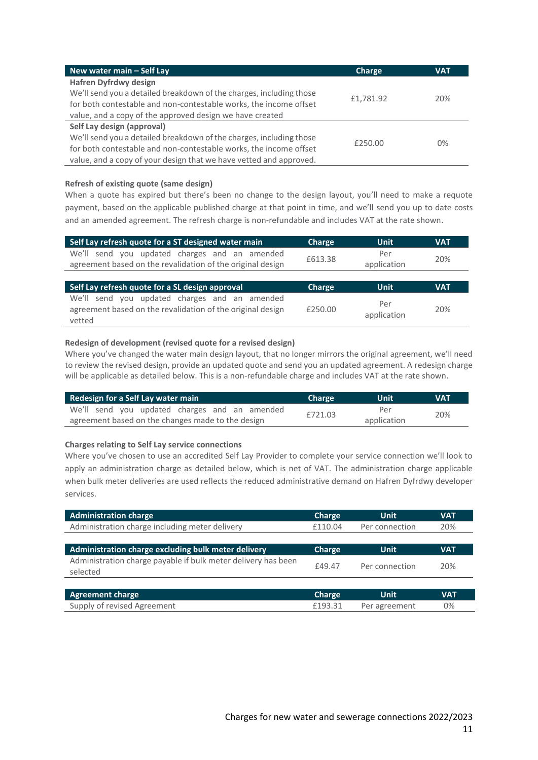| New water main - Self Lay                                           | Charge    | <b>VAT</b> |
|---------------------------------------------------------------------|-----------|------------|
| <b>Hafren Dyfrdwy design</b>                                        |           |            |
| We'll send you a detailed breakdown of the charges, including those | £1,781.92 | 20%        |
| for both contestable and non-contestable works, the income offset   |           |            |
| value, and a copy of the approved design we have created            |           |            |
| Self Lay design (approval)                                          |           |            |
| We'll send you a detailed breakdown of the charges, including those | £250.00   | $0\%$      |
| for both contestable and non-contestable works, the income offset   |           |            |
| value, and a copy of your design that we have vetted and approved.  |           |            |

### **Refresh of existing quote (same design)**

When a quote has expired but there's been no change to the design layout, you'll need to make a requote payment, based on the applicable published charge at that point in time, and we'll send you up to date costs and an amended agreement. The refresh charge is non-refundable and includes VAT at the rate shown.

| Self Lay refresh quote for a ST designed water main                                                            | Charge  | <b>Unit</b>        | VAT |
|----------------------------------------------------------------------------------------------------------------|---------|--------------------|-----|
| send you updated charges and an amended<br>We'll<br>agreement based on the revalidation of the original design | £613.38 | Per<br>application | 20% |
|                                                                                                                |         |                    |     |
| Self Lay refresh quote for a SL design approval                                                                | Charge  | <b>Unit</b>        | VAT |

#### **Redesign of development (revised quote for a revised design)**

Where you've changed the water main design layout, that no longer mirrors the original agreement, we'll need to review the revised design, provide an updated quote and send you an updated agreement. A redesign charge will be applicable as detailed below. This is a non-refundable charge and includes VAT at the rate shown.

| Redesign for a Self Lay water main                | <b>Charge</b> | <b>Uniti</b> | <b>VAT</b> |
|---------------------------------------------------|---------------|--------------|------------|
| We'll send you updated charges and an amended     | £721.03       | Per          | 20%        |
| agreement based on the changes made to the design |               | application  |            |

#### **Charges relating to Self Lay service connections**

Where you've chosen to use an accredited Self Lay Provider to complete your service connection we'll look to apply an administration charge as detailed below, which is net of VAT. The administration charge applicable when bulk meter deliveries are used reflects the reduced administrative demand on Hafren Dyfrdwy developer services.

| <b>Administration charge</b>                                              | Charge  | <b>Unit</b>    | <b>VAT</b> |
|---------------------------------------------------------------------------|---------|----------------|------------|
| Administration charge including meter delivery                            | £110.04 | Per connection | 20%        |
| Administration charge excluding bulk meter delivery                       | Charge  | <b>Unit</b>    | <b>VAT</b> |
| Administration charge payable if bulk meter delivery has been<br>selected | £49.47  | Per connection | 20%        |
|                                                                           |         |                |            |
| <b>Agreement charge</b>                                                   | Charge  | <b>Unit</b>    | <b>VAT</b> |
| Supply of revised Agreement                                               | £193.31 | Per agreement  | 0%         |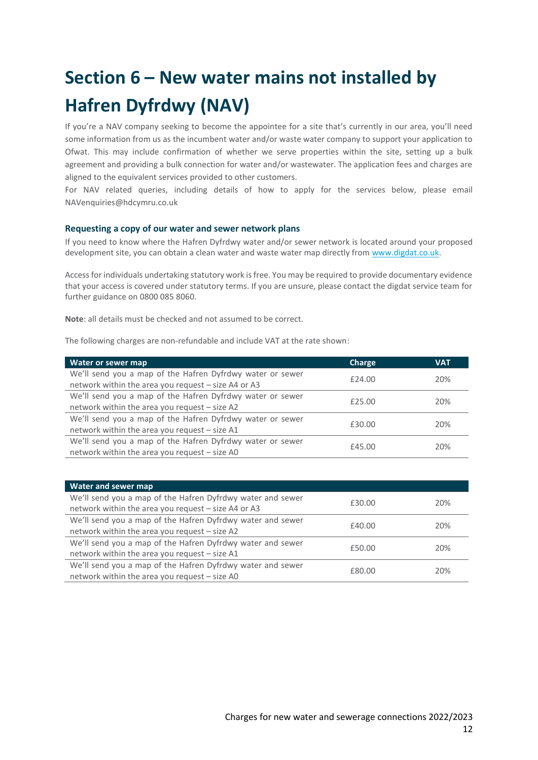# **Section 6 – New water mains not installed by Hafren Dyfrdwy (NAV)**

If you're a NAV company seeking to become the appointee for a site that's currently in our area, you'll need some information from us as the incumbent water and/or waste water company to support your application to Ofwat. This may include confirmation of whether we serve properties within the site, setting up a bulk agreement and providing a bulk connection for water and/or wastewater. The application fees and charges are aligned to the equivalent services provided to other customers.

For NAV related queries, including details of how to apply for the services below, please email NAVenquiries@hdcymru.co.uk

### **Requesting a copy of our water and sewer network plans**

If you need to know where the Hafren Dyfrdwy water and/or sewer network is located around your proposed development site, you can obtain a clean water and waste water map directly from [www.digdat.co.uk.](http://www.digdat.co.uk/)

Access for individuals undertaking statutory work is free. You may be required to provide documentary evidence that your access is covered under statutory terms. If you are unsure, please contact the digdat service team for further guidance on 0800 085 8060.

**Note**: all details must be checked and not assumed to be correct.

The following charges are non-refundable and include VAT at the rate shown:

| Water or sewer map                                        | <b>Charge</b> | <b>VAT</b> |  |
|-----------------------------------------------------------|---------------|------------|--|
| We'll send you a map of the Hafren Dyfrdwy water or sewer | £24.00        | 20%        |  |
| network within the area you request - size A4 or A3       |               |            |  |
| We'll send you a map of the Hafren Dyfrdwy water or sewer | £25.00        | 20%        |  |
| network within the area you request - size A2             |               |            |  |
| We'll send you a map of the Hafren Dyfrdwy water or sewer |               |            |  |
| network within the area you request - size A1             | £30.00        | 20%        |  |
| We'll send you a map of the Hafren Dyfrdwy water or sewer |               |            |  |
| network within the area you request - size A0             | £45.00        | 20%        |  |

| Water and sewer map                                        |        |     |
|------------------------------------------------------------|--------|-----|
| We'll send you a map of the Hafren Dyfrdwy water and sewer | £30.00 | 20% |
| network within the area you request - size A4 or A3        |        |     |
| We'll send you a map of the Hafren Dyfrdwy water and sewer | £40.00 | 20% |
| network within the area you request - size A2              |        |     |
| We'll send you a map of the Hafren Dyfrdwy water and sewer | £50.00 | 20% |
| network within the area you request - size A1              |        |     |
| We'll send you a map of the Hafren Dyfrdwy water and sewer | £80.00 | 20% |
| network within the area you request - size A0              |        |     |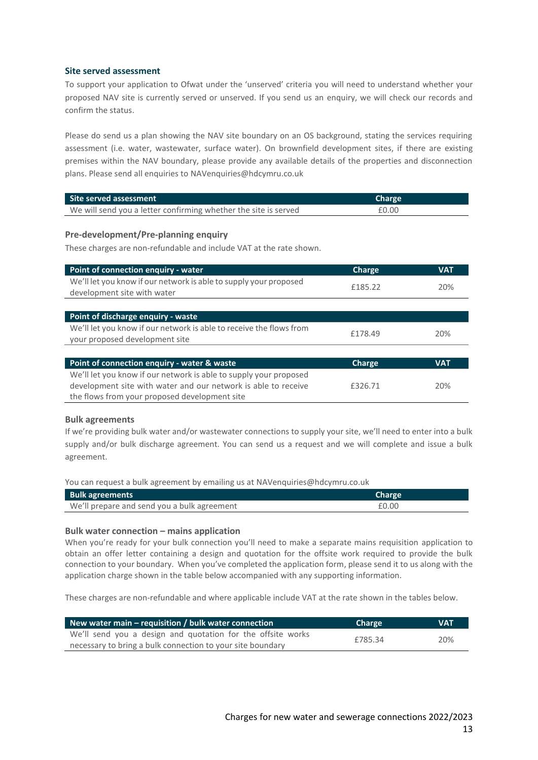### **Site served assessment**

To support your application to Ofwat under the 'unserved' criteria you will need to understand whether your proposed NAV site is currently served or unserved. If you send us an enquiry, we will check our records and confirm the status.

Please do send us a plan showing the NAV site boundary on an OS background, stating the services requiring assessment (i.e. water, wastewater, surface water). On brownfield development sites, if there are existing premises within the NAV boundary, please provide any available details of the properties and disconnection plans. Please send all enquiries to NAVenquiries@hdcymru.co.uk

| Site served assessment                                          | <b>Charge</b> |
|-----------------------------------------------------------------|---------------|
| We will send you a letter confirming whether the site is served | £0.00         |

### **Pre-development/Pre-planning enquiry**

These charges are non-refundable and include VAT at the rate shown.

| Point of connection enquiry - water                                 | <b>Charge</b> | <b>VAT</b> |
|---------------------------------------------------------------------|---------------|------------|
| We'll let you know if our network is able to supply your proposed   | £185.22       | 20%        |
| development site with water                                         |               |            |
|                                                                     |               |            |
| Point of discharge enquiry - waste                                  |               |            |
| We'll let you know if our network is able to receive the flows from | £178.49       | 20%        |
| your proposed development site                                      |               |            |
|                                                                     |               |            |
| Point of connection enquiry - water & waste                         | <b>Charge</b> | <b>VAT</b> |
| We'll let you know if our network is able to supply your proposed   |               |            |
| development site with water and our network is able to receive      | £326.71       | 20%        |
| the flows from your proposed development site                       |               |            |

#### **Bulk agreements**

If we're providing bulk water and/or wastewater connections to supply your site, we'll need to enter into a bulk supply and/or bulk discharge agreement. You can send us a request and we will complete and issue a bulk agreement.

You can request a bulk agreement by emailing us at NAVenquiries@hdcymru.co.uk

| <b>Bulk agreements</b>                      | <b>Charge</b> |
|---------------------------------------------|---------------|
| We'll prepare and send you a bulk agreement | £0.00         |

#### **Bulk water connection – mains application**

When you're ready for your bulk connection you'll need to make a separate mains requisition application to obtain an offer letter containing a design and quotation for the offsite work required to provide the bulk connection to your boundary. When you've completed the application form, please send it to us along with the application charge shown in the table below accompanied with any supporting information.

These charges are non-refundable and where applicable include VAT at the rate shown in the tables below.

| New water main – requisition / bulk water connection                                                                      | <b>Charge</b> | <b>VAT</b> |
|---------------------------------------------------------------------------------------------------------------------------|---------------|------------|
| We'll send you a design and quotation for the offsite works<br>necessary to bring a bulk connection to your site boundary | £785.34       | 20%        |
|                                                                                                                           |               |            |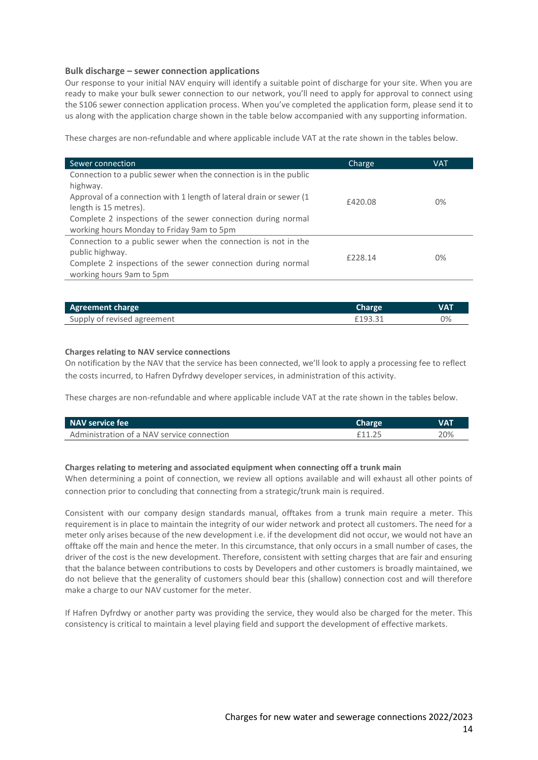### **Bulk discharge – sewer connection applications**

Our response to your initial NAV enquiry will identify a suitable point of discharge for your site. When you are ready to make your bulk sewer connection to our network, you'll need to apply for approval to connect using the S106 sewer connection application process. When you've completed the application form, please send it to us along with the application charge shown in the table below accompanied with any supporting information.

These charges are non-refundable and where applicable include VAT at the rate shown in the tables below.

| Sewer connection                                                     | Charge  | <b>VAT</b> |
|----------------------------------------------------------------------|---------|------------|
| Connection to a public sewer when the connection is in the public    |         |            |
| highway.                                                             |         |            |
| Approval of a connection with 1 length of lateral drain or sewer (1) | £420.08 | $0\%$      |
| length is 15 metres).                                                |         |            |
| Complete 2 inspections of the sewer connection during normal         |         |            |
| working hours Monday to Friday 9am to 5pm                            |         |            |
| Connection to a public sewer when the connection is not in the       |         |            |
| public highway.                                                      | F228.14 | $0\%$      |
| Complete 2 inspections of the sewer connection during normal         |         |            |
| working hours 9am to 5pm                                             |         |            |

| <b>Agreement charge</b>     | <b>Charge</b> | <b>VAT</b> |
|-----------------------------|---------------|------------|
| Supply of revised agreement | £193.31       | 0%         |

#### **Charges relating to NAV service connections**

On notification by the NAV that the service has been connected, we'll look to apply a processing fee to reflect the costs incurred, to Hafren Dyfrdwy developer services, in administration of this activity.

These charges are non-refundable and where applicable include VAT at the rate shown in the tables below.

| NAV service fee                            | Charge | <b>VAT</b> |
|--------------------------------------------|--------|------------|
| Administration of a NAV service connection |        | 20%        |

#### **Charges relating to metering and associated equipment when connecting off a trunk main**

When determining a point of connection, we review all options available and will exhaust all other points of connection prior to concluding that connecting from a strategic/trunk main is required.

Consistent with our company design standards manual, offtakes from a trunk main require a meter. This requirement is in place to maintain the integrity of our wider network and protect all customers. The need for a meter only arises because of the new development i.e. if the development did not occur, we would not have an offtake off the main and hence the meter. In this circumstance, that only occurs in a small number of cases, the driver of the cost is the new development. Therefore, consistent with setting charges that are fair and ensuring that the balance between contributions to costs by Developers and other customers is broadly maintained, we do not believe that the generality of customers should bear this (shallow) connection cost and will therefore make a charge to our NAV customer for the meter.

If Hafren Dyfrdwy or another party was providing the service, they would also be charged for the meter. This consistency is critical to maintain a level playing field and support the development of effective markets.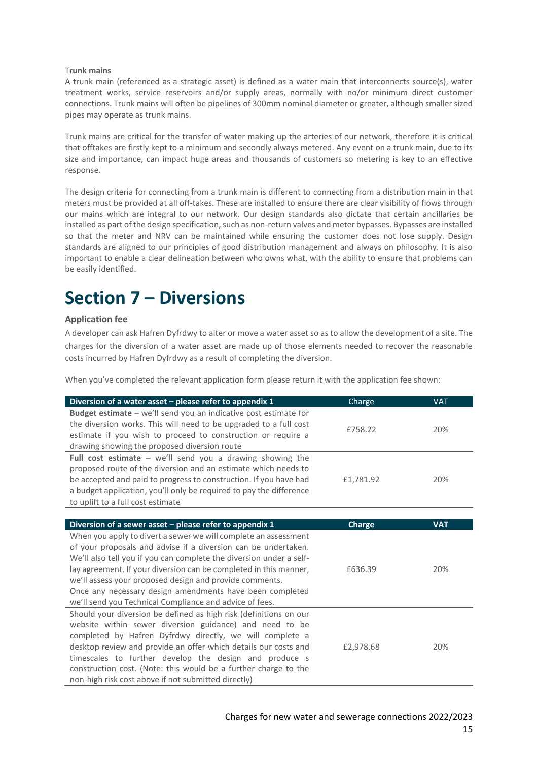#### T**runk mains**

A trunk main (referenced as a strategic asset) is defined as a water main that interconnects source(s), water treatment works, service reservoirs and/or supply areas, normally with no/or minimum direct customer connections. Trunk mains will often be pipelines of 300mm nominal diameter or greater, although smaller sized pipes may operate as trunk mains.

Trunk mains are critical for the transfer of water making up the arteries of our network, therefore it is critical that offtakes are firstly kept to a minimum and secondly always metered. Any event on a trunk main, due to its size and importance, can impact huge areas and thousands of customers so metering is key to an effective response.

The design criteria for connecting from a trunk main is different to connecting from a distribution main in that meters must be provided at all off-takes. These are installed to ensure there are clear visibility of flows through our mains which are integral to our network. Our design standards also dictate that certain ancillaries be installed as part of the design specification, such as non-return valves and meter bypasses. Bypasses are installed so that the meter and NRV can be maintained while ensuring the customer does not lose supply. Design standards are aligned to our principles of good distribution management and always on philosophy. It is also important to enable a clear delineation between who owns what, with the ability to ensure that problems can be easily identified.

# **Section 7 – Diversions**

#### **Application fee**

A developer can ask Hafren Dyfrdwy to alter or move a water asset so as to allow the development of a site. The charges for the diversion of a water asset are made up of those elements needed to recover the reasonable costs incurred by Hafren Dyfrdwy as a result of completing the diversion.

When you've completed the relevant application form please return it with the application fee shown:

| Diversion of a water asset $-$ please refer to appendix 1           | Charge    | <b>VAT</b> |
|---------------------------------------------------------------------|-----------|------------|
| Budget estimate - we'll send you an indicative cost estimate for    |           |            |
| the diversion works. This will need to be upgraded to a full cost   | £758.22   | 20%        |
| estimate if you wish to proceed to construction or require a        |           |            |
| drawing showing the proposed diversion route                        |           |            |
| Full cost estimate $-$ we'll send you a drawing showing the         |           |            |
| proposed route of the diversion and an estimate which needs to      |           |            |
| be accepted and paid to progress to construction. If you have had   | £1,781.92 | 20%        |
| a budget application, you'll only be required to pay the difference |           |            |
| to uplift to a full cost estimate                                   |           |            |

| Diversion of a sewer asset – please refer to appendix 1             | <b>Charge</b> | <b>VAT</b> |
|---------------------------------------------------------------------|---------------|------------|
| When you apply to divert a sewer we will complete an assessment     |               |            |
| of your proposals and advise if a diversion can be undertaken.      |               |            |
| We'll also tell you if you can complete the diversion under a self- |               |            |
| lay agreement. If your diversion can be completed in this manner,   | £636.39       | 20%        |
| we'll assess your proposed design and provide comments.             |               |            |
| Once any necessary design amendments have been completed            |               |            |
| we'll send you Technical Compliance and advice of fees.             |               |            |
| Should your diversion be defined as high risk (definitions on our   |               |            |
| website within sewer diversion guidance) and need to be             |               |            |
| completed by Hafren Dyfrdwy directly, we will complete a            |               |            |
| desktop review and provide an offer which details our costs and     | £2,978.68     | 20%        |
| timescales to further develop the design and produce s              |               |            |
| construction cost. (Note: this would be a further charge to the     |               |            |
| non-high risk cost above if not submitted directly)                 |               |            |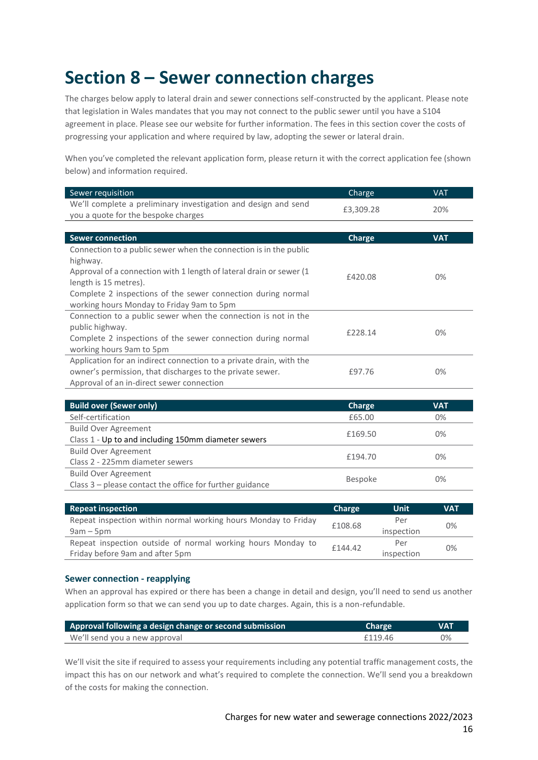# **Section 8 – Sewer connection charges**

The charges below apply to lateral drain and sewer connections self-constructed by the applicant. Please note that legislation in Wales mandates that you may not connect to the public sewer until you have a S104 agreement in place. Please see our website for further information. The fees in this section cover the costs of progressing your application and where required by law, adopting the sewer or lateral drain.

When you've completed the relevant application form, please return it with the correct application fee (shown below) and information required.

| Sewer requisition                                                    | <b>Charge</b> | <b>VAT</b> |
|----------------------------------------------------------------------|---------------|------------|
| We'll complete a preliminary investigation and design and send       | £3,309.28     | 20%        |
| you a quote for the bespoke charges                                  |               |            |
|                                                                      |               |            |
| <b>Sewer connection</b>                                              | Charge        | <b>VAT</b> |
| Connection to a public sewer when the connection is in the public    |               |            |
| highway.                                                             |               |            |
| Approval of a connection with 1 length of lateral drain or sewer (1) | £420.08       | $0\%$      |
| length is 15 metres).                                                |               |            |
| Complete 2 inspections of the sewer connection during normal         |               |            |
| working hours Monday to Friday 9am to 5pm                            |               |            |
| Connection to a public sewer when the connection is not in the       |               |            |
| public highway.                                                      | £228.14       | $0\%$      |
| Complete 2 inspections of the sewer connection during normal         |               |            |
| working hours 9am to 5pm                                             |               |            |
| Application for an indirect connection to a private drain, with the  |               |            |
| owner's permission, that discharges to the private sewer.            | £97.76        | $0\%$      |
| Approval of an in-direct sewer connection                            |               |            |

| <b>Build over (Sewer only)</b>                             | Charge         | <b>VAT</b> |
|------------------------------------------------------------|----------------|------------|
| Self-certification                                         | £65.00         | 0%         |
| <b>Build Over Agreement</b>                                | £169.50        | $0\%$      |
| Class 1 - Up to and including 150mm diameter sewers        |                |            |
| <b>Build Over Agreement</b>                                | £194.70        | $0\%$      |
| Class 2 - 225mm diameter sewers                            |                |            |
| <b>Build Over Agreement</b>                                |                |            |
| Class $3$ – please contact the office for further guidance | <b>Bespoke</b> | 0%         |

| <b>Repeat inspection</b>                                       | Charge  | Unit       | <b>VAT</b> |
|----------------------------------------------------------------|---------|------------|------------|
| Repeat inspection within normal working hours Monday to Friday | £108.68 | Per        | 0%         |
| $9am - 5pm$                                                    |         | inspection |            |
| Repeat inspection outside of normal working hours Monday to    | £144.42 | Per        | 0%         |
| Friday before 9am and after 5pm                                |         | inspection |            |

#### **Sewer connection - reapplying**

When an approval has expired or there has been a change in detail and design, you'll need to send us another application form so that we can send you up to date charges. Again, this is a non-refundable.

| Approval following a design change or second submission | Charge  | <b>VAT</b> |
|---------------------------------------------------------|---------|------------|
| We'll send you a new approval                           | £119.46 | 0%         |

We'll visit the site if required to assess your requirements including any potential traffic management costs, the impact this has on our network and what's required to complete the connection. We'll send you a breakdown of the costs for making the connection.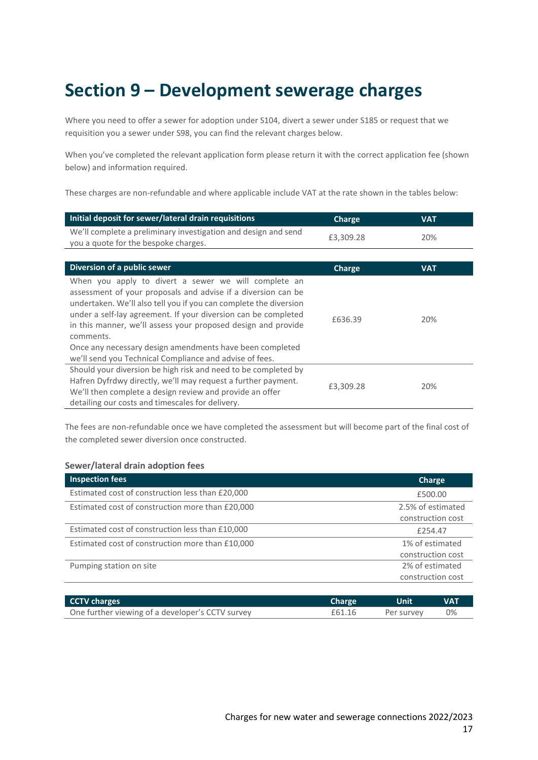# **Section 9 – Development sewerage charges**

Where you need to offer a sewer for adoption under S104, divert a sewer under S185 or request that we requisition you a sewer under S98, you can find the relevant charges below.

When you've completed the relevant application form please return it with the correct application fee (shown below) and information required.

These charges are non-refundable and where applicable include VAT at the rate shown in the tables below:

| Initial deposit for sewer/lateral drain requisitions                                                                                                                                                                                                                                                                                                                                                                                                              | Charge    | <b>VAT</b> |
|-------------------------------------------------------------------------------------------------------------------------------------------------------------------------------------------------------------------------------------------------------------------------------------------------------------------------------------------------------------------------------------------------------------------------------------------------------------------|-----------|------------|
| We'll complete a preliminary investigation and design and send<br>you a quote for the bespoke charges.                                                                                                                                                                                                                                                                                                                                                            | £3,309.28 | 20%        |
|                                                                                                                                                                                                                                                                                                                                                                                                                                                                   |           |            |
| Diversion of a public sewer                                                                                                                                                                                                                                                                                                                                                                                                                                       | Charge    | <b>VAT</b> |
| When you apply to divert a sewer we will complete an<br>assessment of your proposals and advise if a diversion can be<br>undertaken. We'll also tell you if you can complete the diversion<br>under a self-lay agreement. If your diversion can be completed<br>in this manner, we'll assess your proposed design and provide<br>comments.<br>Once any necessary design amendments have been completed<br>we'll send you Technical Compliance and advise of fees. | £636.39   | 20%        |
| Should your diversion be high risk and need to be completed by<br>Hafren Dyfrdwy directly, we'll may request a further payment.<br>We'll then complete a design review and provide an offer<br>detailing our costs and timescales for delivery.                                                                                                                                                                                                                   | £3,309.28 | 20%        |

The fees are non-refundable once we have completed the assessment but will become part of the final cost of the completed sewer diversion once constructed.

#### **Sewer/lateral drain adoption fees**

| <b>Inspection fees</b>                           | Charge            |
|--------------------------------------------------|-------------------|
| Estimated cost of construction less than £20,000 | £500.00           |
| Estimated cost of construction more than £20,000 | 2.5% of estimated |
|                                                  | construction cost |
| Estimated cost of construction less than £10,000 | £254.47           |
| Estimated cost of construction more than £10,000 | 1% of estimated   |
|                                                  | construction cost |
| Pumping station on site                          | 2% of estimated   |
|                                                  | construction cost |
|                                                  |                   |

| CCTV charges                                     | <b>Charge</b> | Unit       | <b>VAT</b> |
|--------------------------------------------------|---------------|------------|------------|
| One further viewing of a developer's CCTV survey | £61.16        | Per survey | 0%         |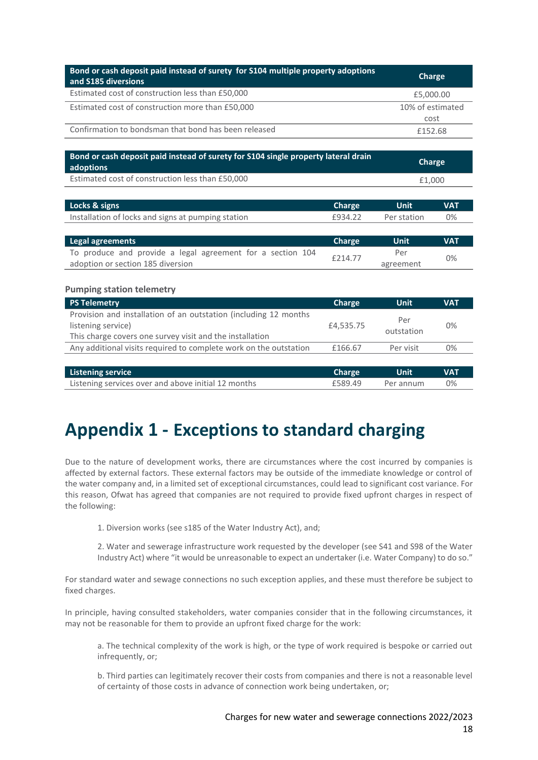| Bond or cash deposit paid instead of surety for S104 multiple property adoptions<br>and S185 diversions                                            |               | Charge            |                  |  |
|----------------------------------------------------------------------------------------------------------------------------------------------------|---------------|-------------------|------------------|--|
| Estimated cost of construction less than £50,000                                                                                                   |               | £5,000.00         |                  |  |
| Estimated cost of construction more than £50,000                                                                                                   |               |                   | 10% of estimated |  |
|                                                                                                                                                    |               | cost              |                  |  |
| Confirmation to bondsman that bond has been released                                                                                               |               | £152.68           |                  |  |
| Bond or cash deposit paid instead of surety for S104 single property lateral drain<br>adoptions                                                    |               |                   | <b>Charge</b>    |  |
| Estimated cost of construction less than £50,000                                                                                                   |               |                   | £1,000           |  |
| Locks & signs                                                                                                                                      | <b>Charge</b> | <b>Unit</b>       | <b>VAT</b>       |  |
| Installation of locks and signs at pumping station                                                                                                 | £934.22       | Per station       | 0%               |  |
| <b>Legal agreements</b>                                                                                                                            | Charge        | Unit              | <b>VAT</b>       |  |
| To produce and provide a legal agreement for a section 104<br>adoption or section 185 diversion                                                    | £214.77       | Per<br>agreement  | 0%               |  |
| <b>Pumping station telemetry</b>                                                                                                                   |               |                   |                  |  |
| <b>PS Telemetry</b>                                                                                                                                | Charge        | <b>Unit</b>       | <b>VAT</b>       |  |
| Provision and installation of an outstation (including 12 months<br>listening service)<br>This charge covers one survey visit and the installation | £4,535.75     | Per<br>outstation | 0%               |  |
| Any additional visits required to complete work on the outstation                                                                                  | £166.67       | Per visit         | 0%               |  |
| <b>Listening service</b>                                                                                                                           | <b>Charge</b> | Unit              | <b>VAT</b>       |  |
| Listening services over and above initial 12 months                                                                                                | £589.49       | Per annum         | 0%               |  |

# **Appendix 1 - Exceptions to standard charging**

Due to the nature of development works, there are circumstances where the cost incurred by companies is affected by external factors. These external factors may be outside of the immediate knowledge or control of the water company and, in a limited set of exceptional circumstances, could lead to significant cost variance. For this reason, Ofwat has agreed that companies are not required to provide fixed upfront charges in respect of the following:

1. Diversion works (see s185 of the Water Industry Act), and;

2. Water and sewerage infrastructure work requested by the developer (see S41 and S98 of the Water Industry Act) where "it would be unreasonable to expect an undertaker (i.e. Water Company) to do so."

For standard water and sewage connections no such exception applies, and these must therefore be subject to fixed charges.

In principle, having consulted stakeholders, water companies consider that in the following circumstances, it may not be reasonable for them to provide an upfront fixed charge for the work:

a. The technical complexity of the work is high, or the type of work required is bespoke or carried out infrequently, or;

b. Third parties can legitimately recover their costs from companies and there is not a reasonable level of certainty of those costs in advance of connection work being undertaken, or;